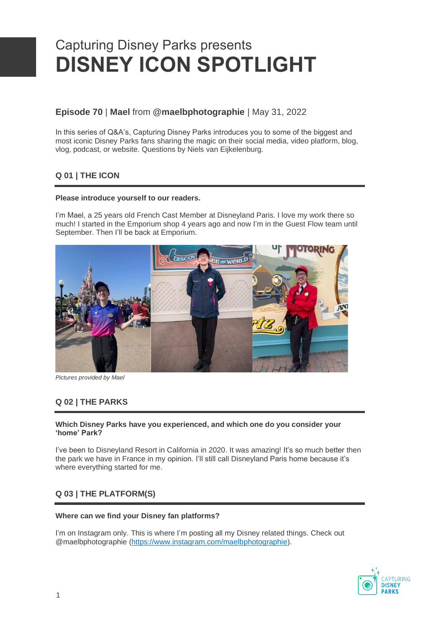# Capturing Disney Parks presents **DISNEY ICON SPOTLIGHT**

# **Episode 70** | **Mael** from **@maelbphotographie** | May 31, 2022

In this series of Q&A's, Capturing Disney Parks introduces you to some of the biggest and most iconic Disney Parks fans sharing the magic on their social media, video platform, blog, vlog, podcast, or website. Questions by Niels van Eijkelenburg.

# **Q 01 | THE ICON**

#### **Please introduce yourself to our readers.**

I'm Mael, a 25 years old French Cast Member at Disneyland Paris. I love my work there so much! I started in the Emporium shop 4 years ago and now I'm in the Guest Flow team until September. Then I'll be back at Emporium.



*Pictures provided by Mael*

# **Q 02 | THE PARKS**

#### **Which Disney Parks have you experienced, and which one do you consider your 'home' Park?**

I've been to Disneyland Resort in California in 2020. It was amazing! It's so much better then the park we have in France in my opinion. I'll still call Disneyland Paris home because it's where everything started for me.

# **Q 03 | THE PLATFORM(S)**

#### **Where can we find your Disney fan platforms?**

I'm on Instagram only. This is where I'm posting all my Disney related things. Check out @maelbphotographie [\(https://www.instagram.com/maelbphotographie\)](https://www.instagram.com/maelbphotographie).

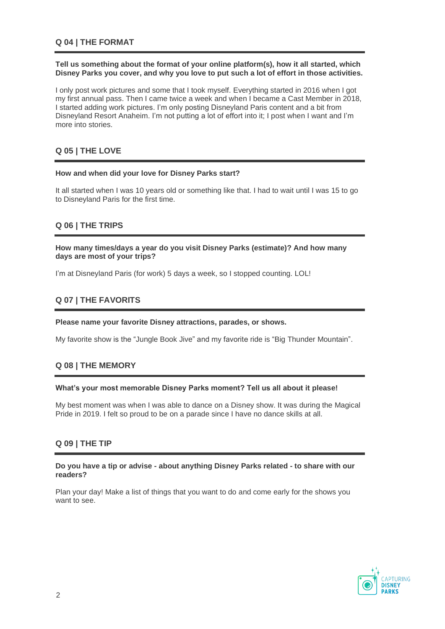#### **Tell us something about the format of your online platform(s), how it all started, which Disney Parks you cover, and why you love to put such a lot of effort in those activities.**

I only post work pictures and some that I took myself. Everything started in 2016 when I got my first annual pass. Then I came twice a week and when I became a Cast Member in 2018, I started adding work pictures. I'm only posting Disneyland Paris content and a bit from Disneyland Resort Anaheim. I'm not putting a lot of effort into it; I post when I want and I'm more into stories.

## **Q 05 | THE LOVE**

#### **How and when did your love for Disney Parks start?**

It all started when I was 10 years old or something like that. I had to wait until I was 15 to go to Disneyland Paris for the first time.

## **Q 06 | THE TRIPS**

**How many times/days a year do you visit Disney Parks (estimate)? And how many days are most of your trips?**

I'm at Disneyland Paris (for work) 5 days a week, so I stopped counting. LOL!

# **Q 07 | THE FAVORITS**

#### **Please name your favorite Disney attractions, parades, or shows.**

My favorite show is the "Jungle Book Jive" and my favorite ride is "Big Thunder Mountain".

# **Q 08 | THE MEMORY**

#### **What's your most memorable Disney Parks moment? Tell us all about it please!**

My best moment was when I was able to dance on a Disney show. It was during the Magical Pride in 2019. I felt so proud to be on a parade since I have no dance skills at all.

## **Q 09 | THE TIP**

**Do you have a tip or advise - about anything Disney Parks related - to share with our readers?**

Plan your day! Make a list of things that you want to do and come early for the shows you want to see.